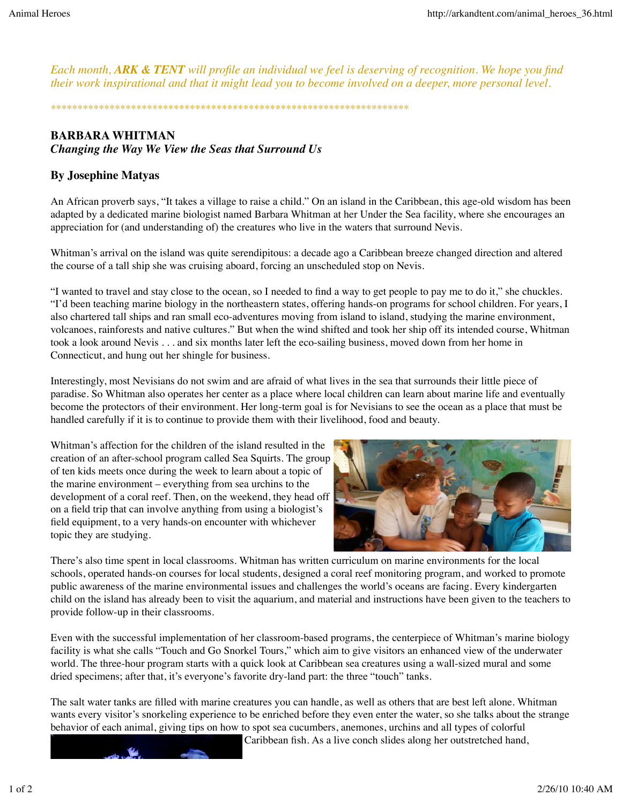*Each month, ARK & TENT will profile an individual we feel is deserving of recognition. We hope you find their work inspirational and that it might lead you to become involved on a deeper, more personal level.*

*\*\*\*\*\*\*\*\*\*\*\*\*\*\*\*\*\*\*\*\*\*\*\*\*\*\*\*\*\*\*\*\*\*\*\*\*\*\*\*\*\*\*\*\*\*\*\*\*\*\*\*\*\*\*\*\*\*\*\*\*\*\*\*\*\*\*\**

## **BARBARA WHITMAN** *Changing the Way We View the Seas that Surround Us*

## **By Josephine Matyas**

An African proverb says, "It takes a village to raise a child." On an island in the Caribbean, this age-old wisdom has been adapted by a dedicated marine biologist named Barbara Whitman at her Under the Sea facility, where she encourages an appreciation for (and understanding of) the creatures who live in the waters that surround Nevis.

Whitman's arrival on the island was quite serendipitous: a decade ago a Caribbean breeze changed direction and altered the course of a tall ship she was cruising aboard, forcing an unscheduled stop on Nevis.

"I wanted to travel and stay close to the ocean, so I needed to find a way to get people to pay me to do it," she chuckles. "I'd been teaching marine biology in the northeastern states, offering hands-on programs for school children. For years, I also chartered tall ships and ran small eco-adventures moving from island to island, studying the marine environment, volcanoes, rainforests and native cultures." But when the wind shifted and took her ship off its intended course, Whitman took a look around Nevis . . . and six months later left the eco-sailing business, moved down from her home in Connecticut, and hung out her shingle for business.

Interestingly, most Nevisians do not swim and are afraid of what lives in the sea that surrounds their little piece of paradise. So Whitman also operates her center as a place where local children can learn about marine life and eventually become the protectors of their environment. Her long-term goal is for Nevisians to see the ocean as a place that must be handled carefully if it is to continue to provide them with their livelihood, food and beauty.

Whitman's affection for the children of the island resulted in the creation of an after-school program called Sea Squirts. The group of ten kids meets once during the week to learn about a topic of the marine environment – everything from sea urchins to the development of a coral reef. Then, on the weekend, they head off on a field trip that can involve anything from using a biologist's field equipment, to a very hands-on encounter with whichever topic they are studying.



There's also time spent in local classrooms. Whitman has written curriculum on marine environments for the local schools, operated hands-on courses for local students, designed a coral reef monitoring program, and worked to promote public awareness of the marine environmental issues and challenges the world's oceans are facing. Every kindergarten child on the island has already been to visit the aquarium, and material and instructions have been given to the teachers to provide follow-up in their classrooms.

Even with the successful implementation of her classroom-based programs, the centerpiece of Whitman's marine biology facility is what she calls "Touch and Go Snorkel Tours," which aim to give visitors an enhanced view of the underwater world. The three-hour program starts with a quick look at Caribbean sea creatures using a wall-sized mural and some dried specimens; after that, it's everyone's favorite dry-land part: the three "touch" tanks.

The salt water tanks are filled with marine creatures you can handle, as well as others that are best left alone. Whitman wants every visitor's snorkeling experience to be enriched before they even enter the water, so she talks about the strange behavior of each animal, giving tips on how to spot sea cucumbers, anemones, urchins and all types of colorful

Caribbean fish. As a live conch slides along her outstretched hand,